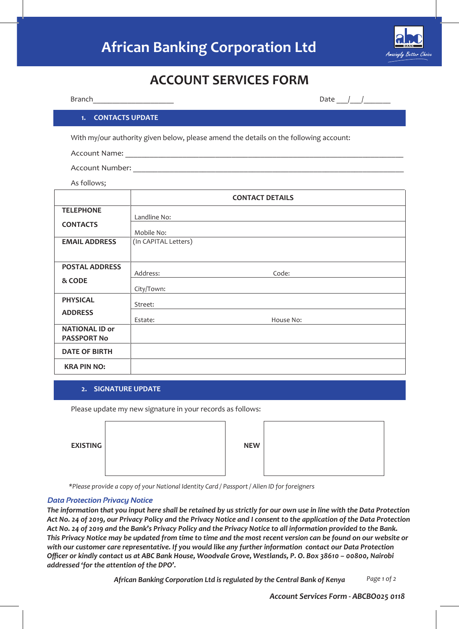# **African Banking Corporation Ltd**



## **ACCOUNT SERVICES FORM**

| Branch                                      |                      | Date $/$ $/$                                                                                                        |
|---------------------------------------------|----------------------|---------------------------------------------------------------------------------------------------------------------|
| <b>1. CONTACTS UPDATE</b>                   |                      |                                                                                                                     |
|                                             |                      | With my/our authority given below, please amend the details on the following account:                               |
|                                             |                      |                                                                                                                     |
| As follows;                                 |                      | <u> 1989 - Johann Barn, amerikansk politiker (d. 1989)</u>                                                          |
|                                             |                      | <b>CONTACT DETAILS</b>                                                                                              |
| <b>TELEPHONE</b>                            | Landline No:         |                                                                                                                     |
| <b>CONTACTS</b>                             | Mobile No:           |                                                                                                                     |
| <b>EMAIL ADDRESS</b>                        | (In CAPITAL Letters) |                                                                                                                     |
| <b>POSTAL ADDRESS</b>                       | Address:             | Code:                                                                                                               |
| & CODE                                      | City/Town:           | <u> 1980 - Johann Barn, mars eta bainar eta baina eta baina eta baina eta baina eta baina eta baina eta baina e</u> |
| <b>PHYSICAL</b>                             | Street:              |                                                                                                                     |
| <b>ADDRESS</b>                              | Estate:              | House No:                                                                                                           |
| <b>NATIONAL ID or</b><br><b>PASSPORT No</b> |                      |                                                                                                                     |
| <b>DATE OF BIRTH</b>                        |                      |                                                                                                                     |
| <b>KRA PIN NO:</b>                          |                      |                                                                                                                     |

#### **2. SIGNATURE UPDATE**

Please update my new signature in your records as follows:

| <b>EXISTING</b> | <b>NEW</b> |  |
|-----------------|------------|--|
|-----------------|------------|--|

*\*Please provide a copy of your National Identity Card / Passport / Alien ID for foreigners*

#### *Data Protection Privacy Notice*

*The information that you input here shall be retained by us strictly for our own use in line with the Data Protection Act No. 24 of 2019, our Privacy Policy and the Privacy Notice and I consent to the application of the Data Protection Act No. 24 of 2019 and the Bank's Privacy Policy and the Privacy Notice to all information provided to the Bank. This Privacy Notice may be updated from time to time and the most recent version can be found on our website or with our customer care representative. If you would like any further information contact our Data Protection Officer or kindly contact us at ABC Bank House, Woodvale Grove, Westlands, P. O. Box 38610 – 00800, Nairobi addressed 'for the attention of the DPO'.*

> *Page 1 of 2 African Banking Corporation Ltd is regulated by the Central Bank of Kenya*